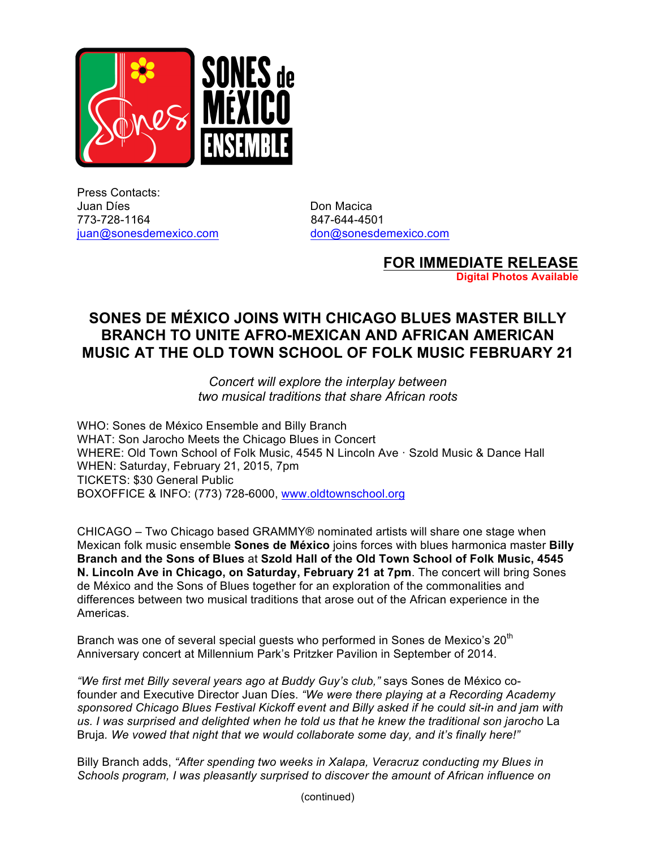

Press Contacts: Juan Díes **Don Macica** 773-728-1164 847-644-4501 juan@sonesdemexico.com don@sonesdemexico.com

**FOR IMMEDIATE RELEASE**

**Digital Photos Available**

## **SONES DE MÉXICO JOINS WITH CHICAGO BLUES MASTER BILLY BRANCH TO UNITE AFRO-MEXICAN AND AFRICAN AMERICAN MUSIC AT THE OLD TOWN SCHOOL OF FOLK MUSIC FEBRUARY 21**

*Concert will explore the interplay between two musical traditions that share African roots*

WHO: Sones de México Ensemble and Billy Branch WHAT: Son Jarocho Meets the Chicago Blues in Concert WHERE: Old Town School of Folk Music, 4545 N Lincoln Ave · Szold Music & Dance Hall WHEN: Saturday, February 21, 2015, 7pm TICKETS: \$30 General Public BOXOFFICE & INFO: (773) 728-6000, www.oldtownschool.org

CHICAGO – Two Chicago based GRAMMY® nominated artists will share one stage when Mexican folk music ensemble **Sones de México** joins forces with blues harmonica master **Billy Branch and the Sons of Blues** at **Szold Hall of the Old Town School of Folk Music, 4545 N. Lincoln Ave in Chicago, on Saturday, February 21 at 7pm**. The concert will bring Sones de México and the Sons of Blues together for an exploration of the commonalities and differences between two musical traditions that arose out of the African experience in the Americas.

Branch was one of several special guests who performed in Sones de Mexico's  $20<sup>th</sup>$ Anniversary concert at Millennium Park's Pritzker Pavilion in September of 2014.

*"We first met Billy several years ago at Buddy Guy's club,"* says Sones de México cofounder and Executive Director Juan Díes. *"We were there playing at a Recording Academy sponsored Chicago Blues Festival Kickoff event and Billy asked if he could sit-in and jam with us. I was surprised and delighted when he told us that he knew the traditional son jarocho* La Bruja*. We vowed that night that we would collaborate some day, and it's finally here!"*

Billy Branch adds, *"After spending two weeks in Xalapa, Veracruz conducting my Blues in Schools program, I was pleasantly surprised to discover the amount of African influence on*